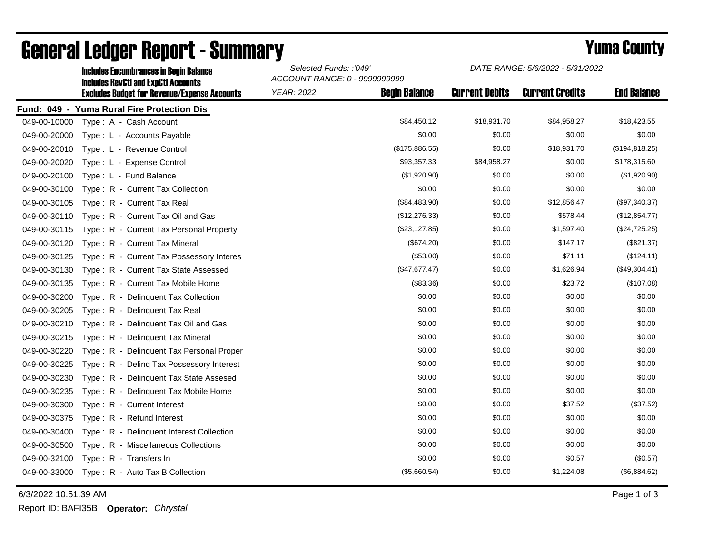|              | <b>Includes Encumbrances in Begin Balance</b><br><b>Includes RevCtI and ExpCtI Accounts</b><br><b>Excludes Budget for Revenue/Expense Accounts</b> | Selected Funds: :'049'<br>ACCOUNT RANGE: 0 - 9999999999 |                      | DATE RANGE: 5/6/2022 - 5/31/2022 |                        |                    |
|--------------|----------------------------------------------------------------------------------------------------------------------------------------------------|---------------------------------------------------------|----------------------|----------------------------------|------------------------|--------------------|
|              |                                                                                                                                                    | <b>YEAR: 2022</b>                                       | <b>Begin Balance</b> | <b>Current Debits</b>            | <b>Current Credits</b> | <b>End Balance</b> |
|              | Fund: 049 - Yuma Rural Fire Protection Dis                                                                                                         |                                                         |                      |                                  |                        |                    |
| 049-00-10000 | Type: A - Cash Account                                                                                                                             |                                                         | \$84,450.12          | \$18,931.70                      | \$84,958.27            | \$18,423.55        |
| 049-00-20000 | Type: L - Accounts Payable                                                                                                                         |                                                         | \$0.00               | \$0.00                           | \$0.00                 | \$0.00             |
| 049-00-20010 | Type: L - Revenue Control                                                                                                                          |                                                         | (\$175,886.55)       | \$0.00                           | \$18,931.70            | (\$194, 818.25)    |
| 049-00-20020 | Type: L - Expense Control                                                                                                                          |                                                         | \$93,357.33          | \$84,958.27                      | \$0.00                 | \$178,315.60       |
| 049-00-20100 | Type: L - Fund Balance                                                                                                                             |                                                         | (\$1,920.90)         | \$0.00                           | \$0.00                 | (\$1,920.90)       |
| 049-00-30100 | Type: R - Current Tax Collection                                                                                                                   |                                                         | \$0.00               | \$0.00                           | \$0.00                 | \$0.00             |
| 049-00-30105 | Type: R - Current Tax Real                                                                                                                         |                                                         | (\$84,483.90)        | \$0.00                           | \$12,856.47            | (\$97,340.37)      |
| 049-00-30110 | Type: R - Current Tax Oil and Gas                                                                                                                  |                                                         | (\$12, 276.33)       | \$0.00                           | \$578.44               | (\$12,854.77)      |
| 049-00-30115 | Type: R - Current Tax Personal Property                                                                                                            |                                                         | (\$23,127.85)        | \$0.00                           | \$1,597.40             | (\$24,725.25)      |
| 049-00-30120 | Type: R - Current Tax Mineral                                                                                                                      |                                                         | (\$674.20)           | \$0.00                           | \$147.17               | (\$821.37)         |
| 049-00-30125 | Type: R - Current Tax Possessory Interes                                                                                                           |                                                         | (\$53.00)            | \$0.00                           | \$71.11                | (\$124.11)         |
| 049-00-30130 | Type: R - Current Tax State Assessed                                                                                                               |                                                         | (\$47,677.47)        | \$0.00                           | \$1,626.94             | (\$49,304.41)      |
| 049-00-30135 | Type: R - Current Tax Mobile Home                                                                                                                  |                                                         | (\$83.36)            | \$0.00                           | \$23.72                | (\$107.08)         |
| 049-00-30200 | Type: R - Delinquent Tax Collection                                                                                                                |                                                         | \$0.00               | \$0.00                           | \$0.00                 | \$0.00             |
| 049-00-30205 | Type: R - Delinquent Tax Real                                                                                                                      |                                                         | \$0.00               | \$0.00                           | \$0.00                 | \$0.00             |
| 049-00-30210 | Type: R - Delinquent Tax Oil and Gas                                                                                                               |                                                         | \$0.00               | \$0.00                           | \$0.00                 | \$0.00             |
| 049-00-30215 | Type: R - Delinquent Tax Mineral                                                                                                                   |                                                         | \$0.00               | \$0.00                           | \$0.00                 | \$0.00             |
| 049-00-30220 | Type: R - Delinguent Tax Personal Proper                                                                                                           |                                                         | \$0.00               | \$0.00                           | \$0.00                 | \$0.00             |
| 049-00-30225 | Type: R - Deling Tax Possessory Interest                                                                                                           |                                                         | \$0.00               | \$0.00                           | \$0.00                 | \$0.00             |
| 049-00-30230 | Type: R - Delinguent Tax State Assesed                                                                                                             |                                                         | \$0.00               | \$0.00                           | \$0.00                 | \$0.00             |
| 049-00-30235 | Type: R - Delinquent Tax Mobile Home                                                                                                               |                                                         | \$0.00               | \$0.00                           | \$0.00                 | \$0.00             |
| 049-00-30300 | Type: R - Current Interest                                                                                                                         |                                                         | \$0.00               | \$0.00                           | \$37.52                | (\$37.52)          |
| 049-00-30375 | Type: R - Refund Interest                                                                                                                          |                                                         | \$0.00               | \$0.00                           | \$0.00                 | \$0.00             |
| 049-00-30400 | Type: R - Delinquent Interest Collection                                                                                                           |                                                         | \$0.00               | \$0.00                           | \$0.00                 | \$0.00             |
| 049-00-30500 | Type: R - Miscellaneous Collections                                                                                                                |                                                         | \$0.00               | \$0.00                           | \$0.00                 | \$0.00             |
| 049-00-32100 | Type: R - Transfers In                                                                                                                             |                                                         | \$0.00               | \$0.00                           | \$0.57                 | (\$0.57)           |
| 049-00-33000 | Type: R - Auto Tax B Collection                                                                                                                    |                                                         | (\$5,660.54)         | \$0.00                           | \$1,224.08             | (\$6,884.62)       |

## General Ledger Report - Summary **Example 2018** Yuma County

6/3/2022 10:51:39 AM Page 1 of 3

Report ID: BAFI35B **Operator:** *Chrystal*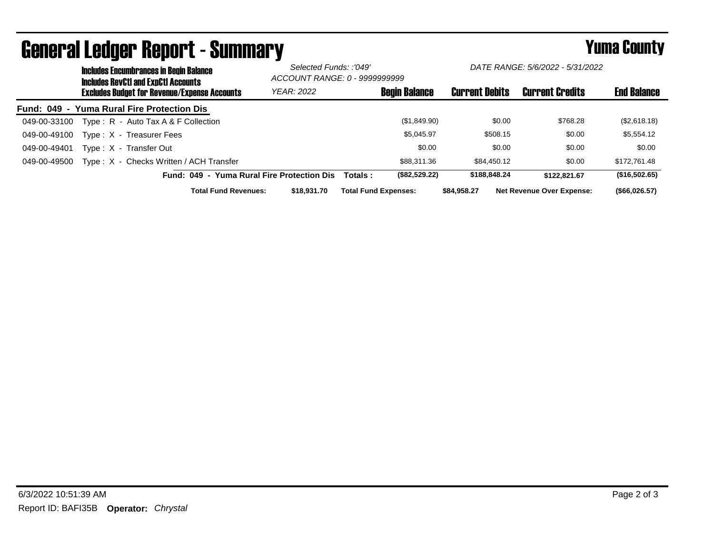|              | <b>Includes Encumbrances in Begin Balance</b><br><b>Includes RevCtI and ExpCtI Accounts</b> |                                                     |                                            | Selected Funds: :'049'<br>ACCOUNT RANGE: 0 - 9999999999 |          | DATE RANGE: 5/6/2022 - 5/31/2022 |                       |                                  |                    |
|--------------|---------------------------------------------------------------------------------------------|-----------------------------------------------------|--------------------------------------------|---------------------------------------------------------|----------|----------------------------------|-----------------------|----------------------------------|--------------------|
|              |                                                                                             | <b>Excludes Budget for Revenue/Expense Accounts</b> |                                            | <b>YEAR: 2022</b>                                       |          | <b>Begin Balance</b>             | <b>Current Debits</b> | <b>Current Credits</b>           | <b>End Balance</b> |
|              |                                                                                             | Fund: 049 - Yuma Rural Fire Protection Dis          |                                            |                                                         |          |                                  |                       |                                  |                    |
| 049-00-33100 |                                                                                             | Type: R - Auto Tax A & F Collection                 |                                            |                                                         |          | (\$1,849.90)                     | \$0.00                | \$768.28                         | (\$2,618.18)       |
| 049-00-49100 |                                                                                             | Type: X - Treasurer Fees                            |                                            |                                                         |          | \$5.045.97                       | \$508.15              | \$0.00                           | \$5,554.12         |
| 049-00-49401 |                                                                                             | Type: X - Transfer Out                              |                                            |                                                         |          | \$0.00                           | \$0.00                | \$0.00                           | \$0.00             |
| 049-00-49500 |                                                                                             | Type: X - Checks Written / ACH Transfer             |                                            |                                                         |          | \$88,311,36                      | \$84.450.12           | \$0.00                           | \$172,761.48       |
|              |                                                                                             |                                                     | Fund: 049 - Yuma Rural Fire Protection Dis |                                                         | Totals : | (\$82,529.22)                    | \$188,848,24          | \$122.821.67                     | (\$16,502.65)      |
|              |                                                                                             |                                                     | <b>Total Fund Revenues:</b>                | \$18,931.70                                             |          | <b>Total Fund Expenses:</b>      | \$84,958,27           | <b>Net Revenue Over Expense:</b> | (\$66,026.57)      |

## General Ledger Report - Summary **Example 2018** Yuma County